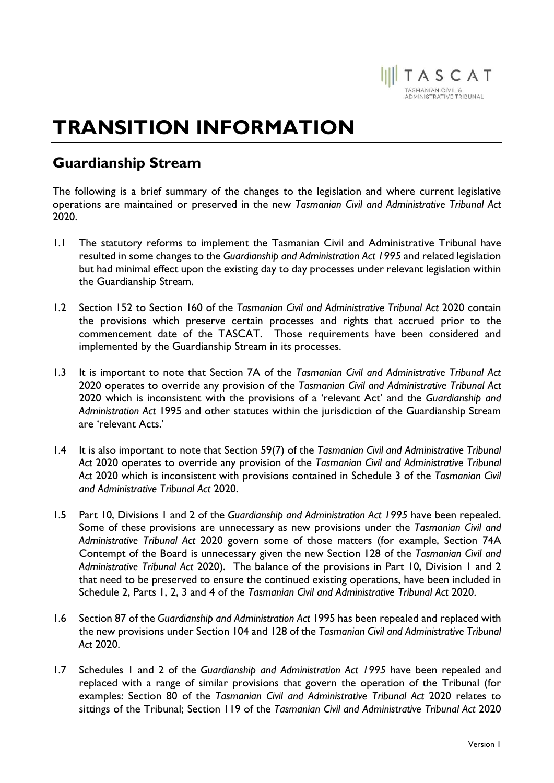

## TRANSITION INFORMATION

## Guardianship Stream

The following is a brief summary of the changes to the legislation and where current legislative operations are maintained or preserved in the new Tasmanian Civil and Administrative Tribunal Act 2020.

- 1.1 The statutory reforms to implement the Tasmanian Civil and Administrative Tribunal have resulted in some changes to the Guardianship and Administration Act 1995 and related legislation but had minimal effect upon the existing day to day processes under relevant legislation within the Guardianship Stream.
- 1.2 Section 152 to Section 160 of the Tasmanian Civil and Administrative Tribunal Act 2020 contain the provisions which preserve certain processes and rights that accrued prior to the commencement date of the TASCAT. Those requirements have been considered and implemented by the Guardianship Stream in its processes.
- 1.3 It is important to note that Section 7A of the Tasmanian Civil and Administrative Tribunal Act 2020 operates to override any provision of the Tasmanian Civil and Administrative Tribunal Act 2020 which is inconsistent with the provisions of a 'relevant Act' and the Guardianship and Administration Act 1995 and other statutes within the jurisdiction of the Guardianship Stream are 'relevant Acts.'
- 1.4 It is also important to note that Section 59(7) of the Tasmanian Civil and Administrative Tribunal Act 2020 operates to override any provision of the Tasmanian Civil and Administrative Tribunal Act 2020 which is inconsistent with provisions contained in Schedule 3 of the Tasmanian Civil and Administrative Tribunal Act 2020.
- 1.5 Part 10, Divisions 1 and 2 of the Guardianship and Administration Act 1995 have been repealed. Some of these provisions are unnecessary as new provisions under the Tasmanian Civil and Administrative Tribunal Act 2020 govern some of those matters (for example, Section 74A Contempt of the Board is unnecessary given the new Section 128 of the Tasmanian Civil and Administrative Tribunal Act 2020). The balance of the provisions in Part 10, Division 1 and 2 that need to be preserved to ensure the continued existing operations, have been included in Schedule 2, Parts 1, 2, 3 and 4 of the Tasmanian Civil and Administrative Tribunal Act 2020.
- 1.6 Section 87 of the Guardianship and Administration Act 1995 has been repealed and replaced with the new provisions under Section 104 and 128 of the Tasmanian Civil and Administrative Tribunal Act 2020.
- 1.7 Schedules 1 and 2 of the Guardianship and Administration Act 1995 have been repealed and replaced with a range of similar provisions that govern the operation of the Tribunal (for examples: Section 80 of the Tasmanian Civil and Administrative Tribunal Act 2020 relates to sittings of the Tribunal; Section 119 of the Tasmanian Civil and Administrative Tribunal Act 2020